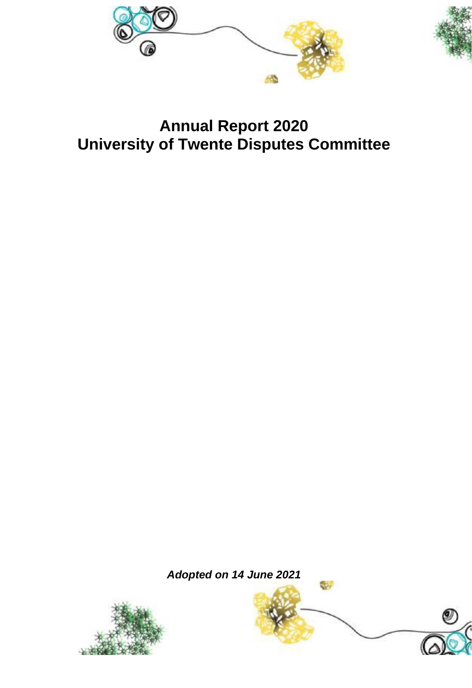



# **Annual Report 2020 University of Twente Disputes Committee**

*Adopted on 14 June 2021*